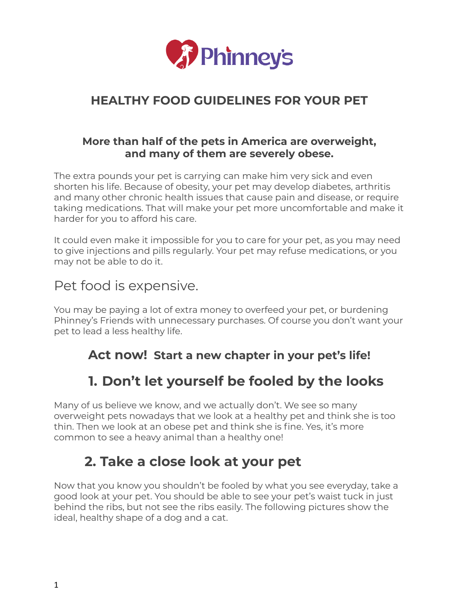

### **HEALTHY FOOD GUIDELINES FOR YOUR PET**

#### **More than half of the pets in America are overweight, and many of them are severely obese.**

The extra pounds your pet is carrying can make him very sick and even shorten his life. Because of obesity, your pet may develop diabetes, arthritis and many other chronic health issues that cause pain and disease, or require taking medications. That will make your pet more uncomfortable and make it harder for you to afford his care.

It could even make it impossible for you to care for your pet, as you may need to give injections and pills regularly. Your pet may refuse medications, or you may not be able to do it.

### Pet food is expensive.

You may be paying a lot of extra money to overfeed your pet, or burdening Phinney's Friends with unnecessary purchases. Of course you don't want your pet to lead a less healthy life.

### **Act now! Start a new chapter in your pet's life!**

## **1. Don't let yourself be fooled by the looks**

Many of us believe we know, and we actually don't. We see so many overweight pets nowadays that we look at a healthy pet and think she is too thin. Then we look at an obese pet and think she is fine. Yes, it's more common to see a heavy animal than a healthy one!

## **2. Take a close look at your pet**

Now that you know you shouldn't be fooled by what you see everyday, take a good look at your pet. You should be able to see your pet's waist tuck in just behind the ribs, but not see the ribs easily. The following pictures show the ideal, healthy shape of a dog and a cat.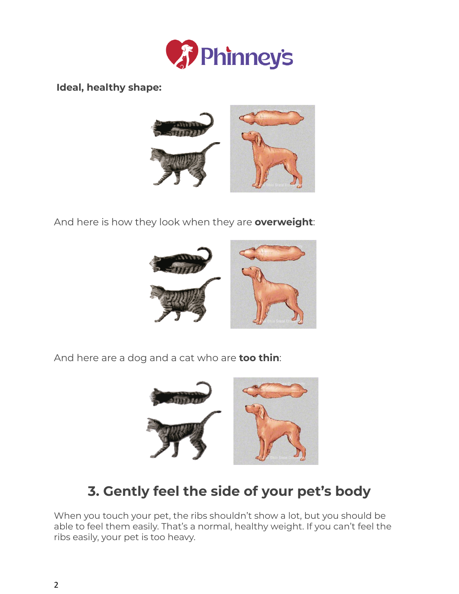

**Ideal, healthy shape:**



And here is how they look when they are **overweight**:



And here are a dog and a cat who are **too thin**:



# **3. Gently feel the side of your pet's body**

When you touch your pet, the ribs shouldn't show a lot, but you should be able to feel them easily. That's a normal, healthy weight. If you can't feel the ribs easily, your pet is too heavy.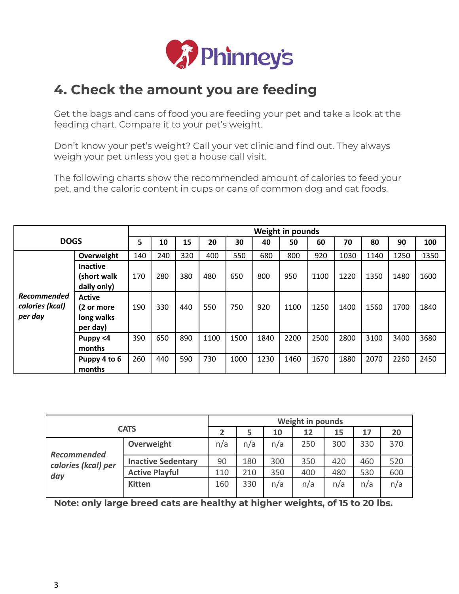

### **4. Check the amount you are feeding**

Get the bags and cans of food you are feeding your pet and take a look at the feeding chart. Compare it to your pet's weight.

Don't know your pet's weight? Call your vet clinic and find out. They always weigh your pet unless you get a house call visit.

The following charts show the recommended amount of calories to feed your pet, and the caloric content in cups or cans of common dog and cat foods.

|                                                  |                                                       | <b>Weight in pounds</b> |     |     |      |      |      |      |      |      |      |      |      |
|--------------------------------------------------|-------------------------------------------------------|-------------------------|-----|-----|------|------|------|------|------|------|------|------|------|
| <b>DOGS</b>                                      |                                                       | 5                       | 10  | 15  | 20   | 30   | 40   | 50   | 60   | 70   | 80   | 90   | 100  |
| <b>Recommended</b><br>calories (kcal)<br>per day | Overweight                                            | 140                     | 240 | 320 | 400  | 550  | 680  | 800  | 920  | 1030 | 1140 | 1250 | 1350 |
|                                                  | <b>Inactive</b><br>(short walk<br>daily only)         | 170                     | 280 | 380 | 480  | 650  | 800  | 950  | 1100 | 1220 | 1350 | 1480 | 1600 |
|                                                  | <b>Active</b><br>(2 or more<br>long walks<br>per day) | 190                     | 330 | 440 | 550  | 750  | 920  | 1100 | 1250 | 1400 | 1560 | 1700 | 1840 |
|                                                  | Puppy <4<br>months                                    | 390                     | 650 | 890 | 1100 | 1500 | 1840 | 2200 | 2500 | 2800 | 3100 | 3400 | 3680 |
|                                                  | Puppy 4 to 6<br>months                                | 260                     | 440 | 590 | 730  | 1000 | 1230 | 1460 | 1670 | 1880 | 2070 | 2260 | 2450 |

| <b>CATS</b>         |                           |     | <b>Weight in pounds</b> |     |     |     |     |     |  |  |
|---------------------|---------------------------|-----|-------------------------|-----|-----|-----|-----|-----|--|--|
|                     |                           |     | 5                       | 10  | 12  | 15  | 17  | 20  |  |  |
| <b>Recommended</b>  | Overweight                | n/a | n/a                     | n/a | 250 | 300 | 330 | 370 |  |  |
| calories (kcal) per | <b>Inactive Sedentary</b> | 90  | 180                     | 300 | 350 | 420 | 460 | 520 |  |  |
| day                 | <b>Active Playful</b>     | 110 | 210                     | 350 | 400 | 480 | 530 | 600 |  |  |
|                     | <b>Kitten</b>             | 160 | 330                     | n/a | n/a | n/a | n/a | n/a |  |  |

**Note: only large breed cats are healthy at higher weights, of 15 to 20 lbs.**